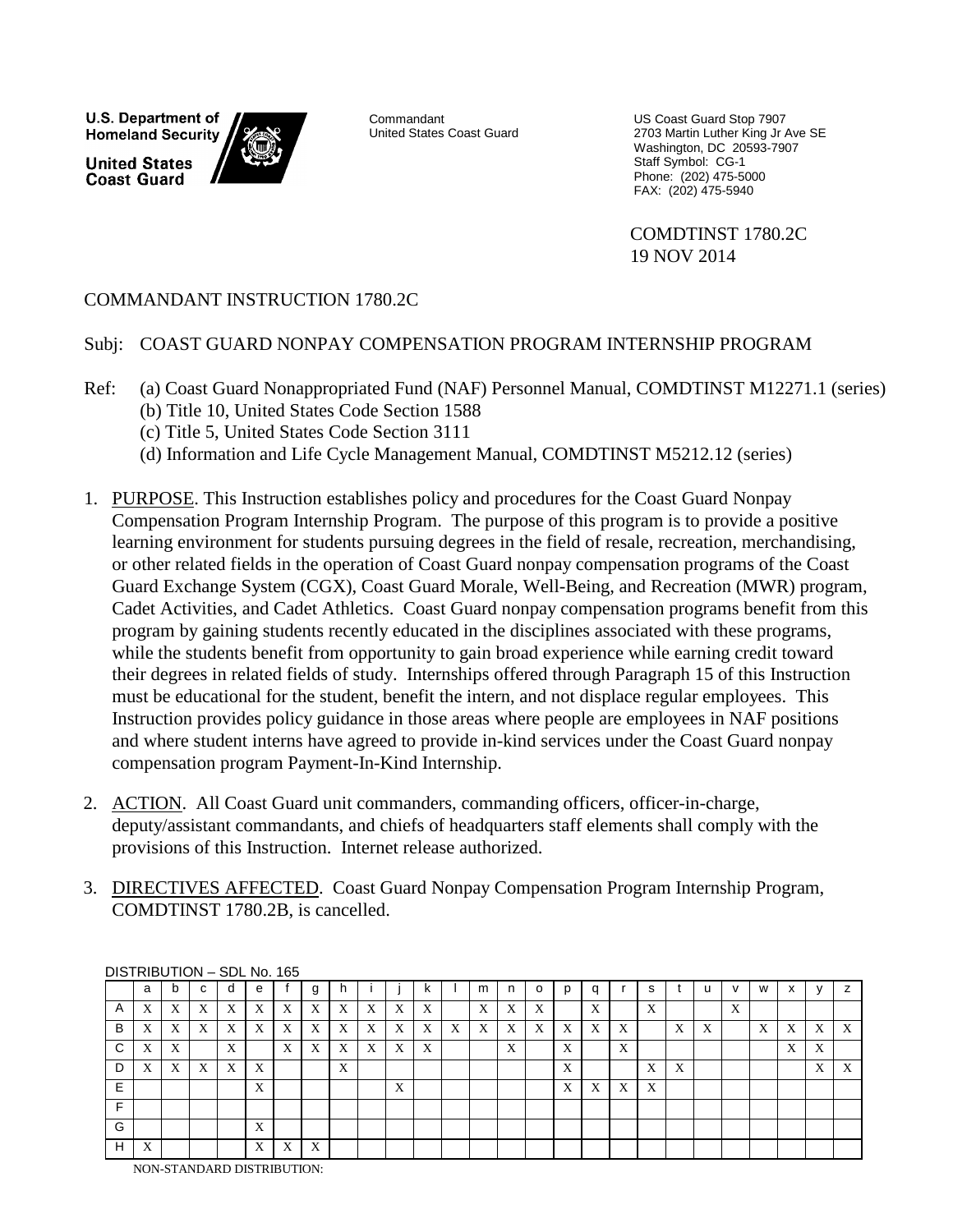**U.S. Department of Homeland Security United States Coast Guard** 



**Commandant** United States Coast Guard US Coast Guard Stop 7907 2703 Martin Luther King Jr Ave SE Washington, DC 20593-7907 Staff Symbol: CG-1 Phone: (202) 475-5000 FAX: (202) 475-5940

COMDTINST 1780.2C 19 NOV 2014

# COMMANDANT INSTRUCTION 1780.2C

### Subj: COAST GUARD NONPAY COMPENSATION PROGRAM INTERNSHIP PROGRAM

- Ref: (a) Coast Guard Nonappropriated Fund (NAF) Personnel Manual, COMDTINST M12271.1 (series) (b) Title 10, United States Code Section 1588
	- (c) Title 5, United States Code Section 3111
	- (d) Information and Life Cycle Management Manual, COMDTINST M5212.12 (series)
- 1. PURPOSE. This Instruction establishes policy and procedures for the Coast Guard Nonpay Compensation Program Internship Program. The purpose of this program is to provide a positive learning environment for students pursuing degrees in the field of resale, recreation, merchandising, or other related fields in the operation of Coast Guard nonpay compensation programs of the Coast Guard Exchange System (CGX), Coast Guard Morale, Well-Being, and Recreation (MWR) program, Cadet Activities, and Cadet Athletics. Coast Guard nonpay compensation programs benefit from this program by gaining students recently educated in the disciplines associated with these programs, while the students benefit from opportunity to gain broad experience while earning credit toward their degrees in related fields of study. Internships offered through Paragraph 15 of this Instruction must be educational for the student, benefit the intern, and not displace regular employees. This Instruction provides policy guidance in those areas where people are employees in NAF positions and where student interns have agreed to provide in-kind services under the Coast Guard nonpay compensation program Payment-In-Kind Internship.
- 2. ACTION. All Coast Guard unit commanders, commanding officers, officer-in-charge, deputy/assistant commandants, and chiefs of headquarters staff elements shall comply with the provisions of this Instruction. Internet release authorized.
- 3. DIRECTIVES AFFECTED. Coast Guard Nonpay Compensation Program Internship Program, COMDTINST 1780.2B, is cancelled.

|   | DISTRIBUTION – SDL NO. 165 |   |   |   |   |   |   |   |   |                           |   |                           |   |   |   |   |   |   |   |                  |   |   |                   |              |                  |   |
|---|----------------------------|---|---|---|---|---|---|---|---|---------------------------|---|---------------------------|---|---|---|---|---|---|---|------------------|---|---|-------------------|--------------|------------------|---|
|   | a                          | b | C | d | е |   | g | n |   |                           | ĸ |                           | m | n | o | D |   |   | s |                  |   |   | W                 | $\mathsf{x}$ |                  | z |
| A | X                          | X | X | X | X | X | X | X | X | X                         | X |                           | X | X | X |   | X |   | X |                  |   | X |                   |              |                  |   |
| B | X                          | X | X | X | X | X | X | X | X | $\boldsymbol{\mathrm{X}}$ | X | $\boldsymbol{\mathrm{X}}$ | X | X | X | X | X | X |   | X                | X |   | $\mathbf{v}$<br>A | X            | X                | X |
| C | X                          | X |   | X |   | X | X | X | X | X                         | X |                           |   | X |   | X |   | X |   |                  |   |   |                   | X            | $\mathbf v$<br>A |   |
| D | X                          | X | X | X | X |   |   | X |   |                           |   |                           |   |   |   | X |   |   | X | $\mathbf v$<br>A |   |   |                   |              | X                | X |
| E |                            |   |   |   | X |   |   |   |   | X                         |   |                           |   |   |   | X | X | X | X |                  |   |   |                   |              |                  |   |
| Е |                            |   |   |   |   |   |   |   |   |                           |   |                           |   |   |   |   |   |   |   |                  |   |   |                   |              |                  |   |
| G |                            |   |   |   | X |   |   |   |   |                           |   |                           |   |   |   |   |   |   |   |                  |   |   |                   |              |                  |   |
| н | X                          |   |   |   | X | X | X |   |   |                           |   |                           |   |   |   |   |   |   |   |                  |   |   |                   |              |                  |   |

DISTRIBUTION – SDL No. 165

NON-STANDARD DISTRIBUTION: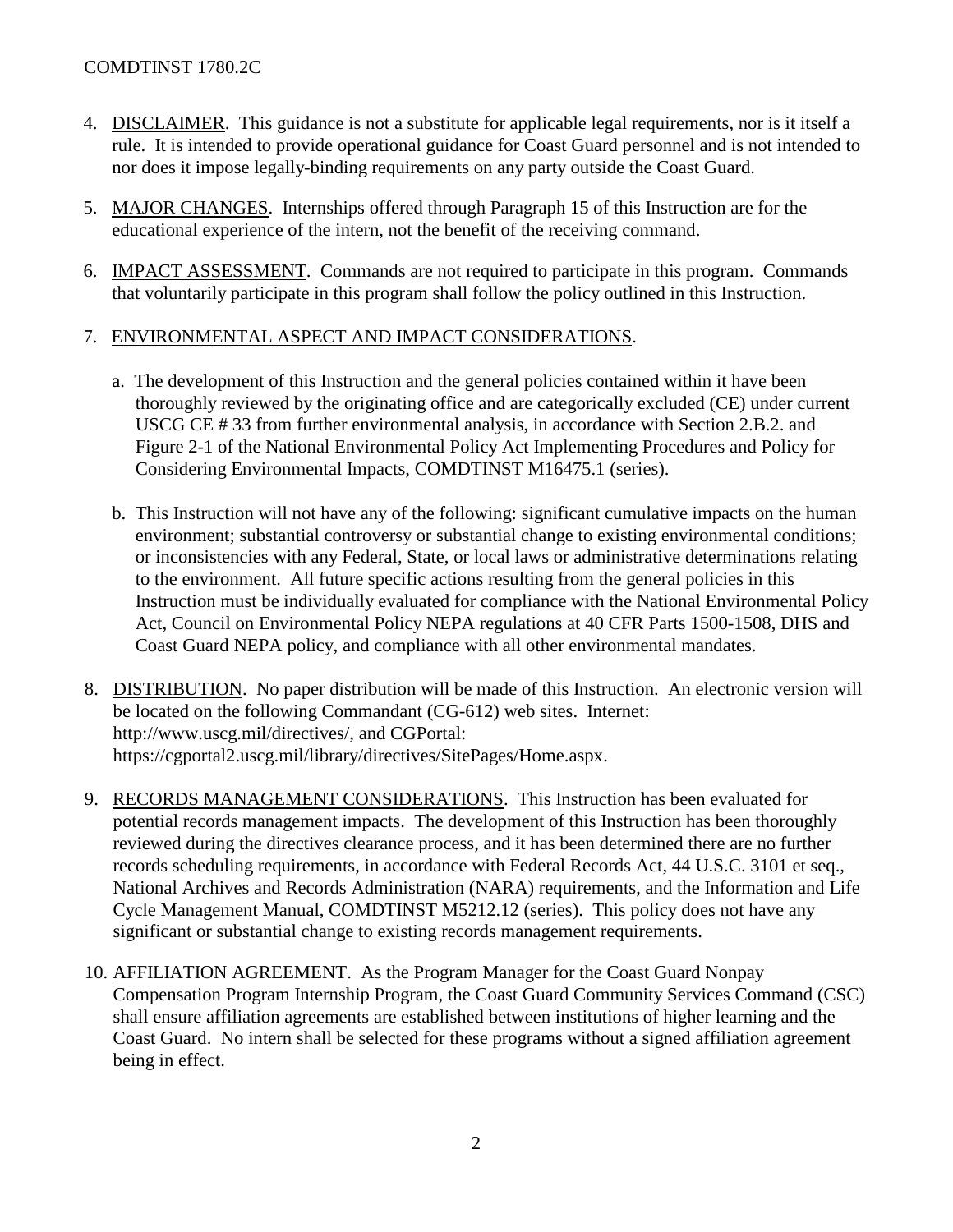## COMDTINST 1780.2C

- 4. DISCLAIMER. This guidance is not a substitute for applicable legal requirements, nor is it itself a rule. It is intended to provide operational guidance for Coast Guard personnel and is not intended to nor does it impose legally-binding requirements on any party outside the Coast Guard.
- 5. MAJOR CHANGES. Internships offered through Paragraph 15 of this Instruction are for the educational experience of the intern, not the benefit of the receiving command.
- 6. IMPACT ASSESSMENT. Commands are not required to participate in this program. Commands that voluntarily participate in this program shall follow the policy outlined in this Instruction.

## 7. ENVIRONMENTAL ASPECT AND IMPACT CONSIDERATIONS.

- a. The development of this Instruction and the general policies contained within it have been thoroughly reviewed by the originating office and are categorically excluded (CE) under current USCG CE # 33 from further environmental analysis, in accordance with Section 2.B.2. and Figure 2-1 of the National Environmental Policy Act Implementing Procedures and Policy for Considering Environmental Impacts, COMDTINST M16475.1 (series).
- b. This Instruction will not have any of the following: significant cumulative impacts on the human environment; substantial controversy or substantial change to existing environmental conditions; or inconsistencies with any Federal, State, or local laws or administrative determinations relating to the environment. All future specific actions resulting from the general policies in this Instruction must be individually evaluated for compliance with the National Environmental Policy Act, Council on Environmental Policy NEPA regulations at 40 CFR Parts 1500-1508, DHS and Coast Guard NEPA policy, and compliance with all other environmental mandates.
- 8. DISTRIBUTION. No paper distribution will be made of this Instruction. An electronic version will be located on the following Commandant (CG-612) web sites. Internet: http://www.uscg.mil/directives/, and CGPortal: https://cgportal2.uscg.mil/library/directives/SitePages/Home.aspx.
- 9. RECORDS MANAGEMENT CONSIDERATIONS. This Instruction has been evaluated for potential records management impacts. The development of this Instruction has been thoroughly reviewed during the directives clearance process, and it has been determined there are no further records scheduling requirements, in accordance with Federal Records Act, 44 U.S.C. 3101 et seq., National Archives and Records Administration (NARA) requirements, and the Information and Life Cycle Management Manual, COMDTINST M5212.12 (series). This policy does not have any significant or substantial change to existing records management requirements.
- 10. AFFILIATION AGREEMENT. As the Program Manager for the Coast Guard Nonpay Compensation Program Internship Program, the Coast Guard Community Services Command (CSC) shall ensure affiliation agreements are established between institutions of higher learning and the Coast Guard. No intern shall be selected for these programs without a signed affiliation agreement being in effect.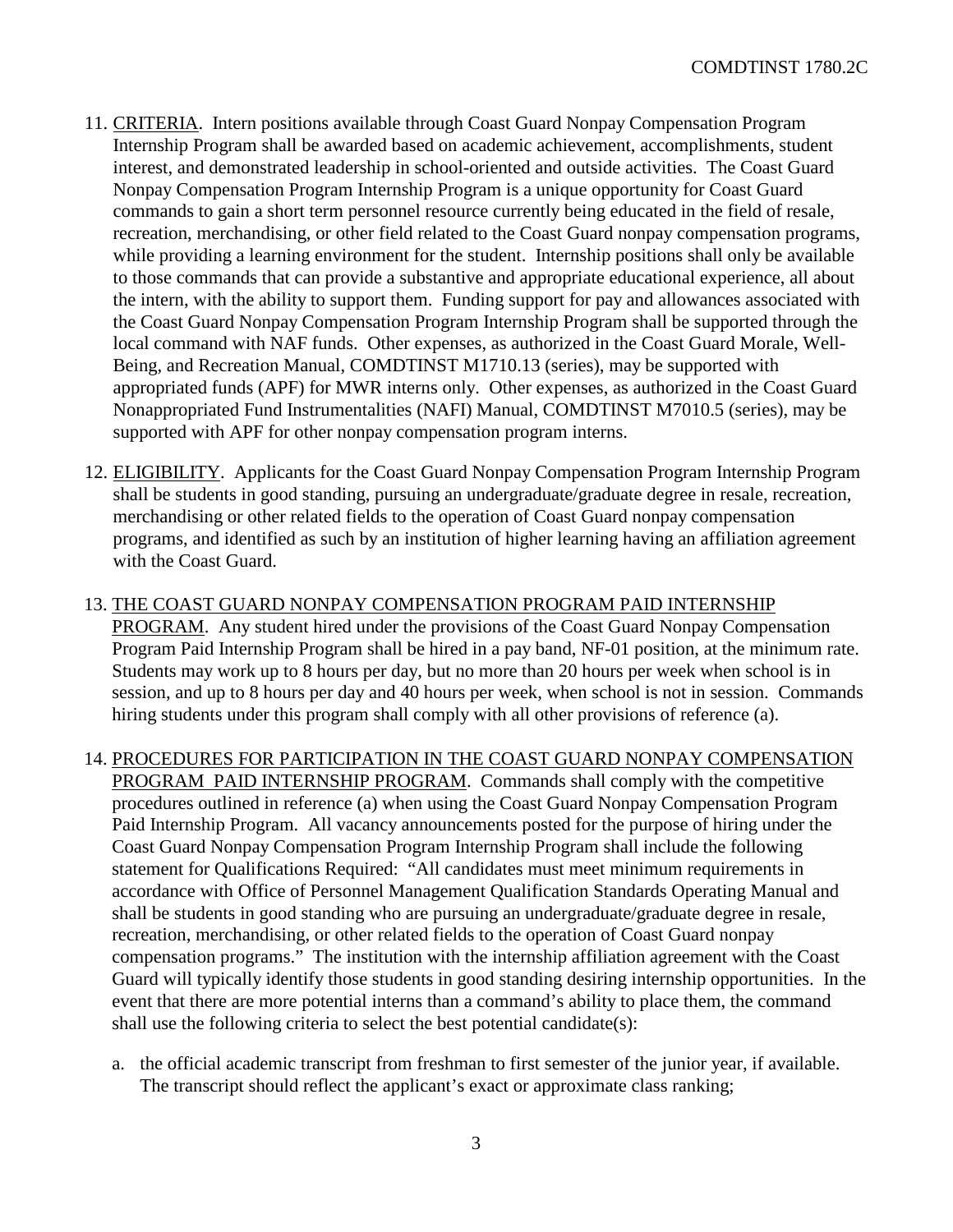- 11. CRITERIA. Intern positions available through Coast Guard Nonpay Compensation Program Internship Program shall be awarded based on academic achievement, accomplishments, student interest, and demonstrated leadership in school-oriented and outside activities. The Coast Guard Nonpay Compensation Program Internship Program is a unique opportunity for Coast Guard commands to gain a short term personnel resource currently being educated in the field of resale, recreation, merchandising, or other field related to the Coast Guard nonpay compensation programs, while providing a learning environment for the student. Internship positions shall only be available to those commands that can provide a substantive and appropriate educational experience, all about the intern, with the ability to support them. Funding support for pay and allowances associated with the Coast Guard Nonpay Compensation Program Internship Program shall be supported through the local command with NAF funds. Other expenses, as authorized in the Coast Guard Morale, Well-Being, and Recreation Manual, COMDTINST M1710.13 (series), may be supported with appropriated funds (APF) for MWR interns only. Other expenses, as authorized in the Coast Guard Nonappropriated Fund Instrumentalities (NAFI) Manual, COMDTINST M7010.5 (series), may be supported with APF for other nonpay compensation program interns.
- 12. ELIGIBILITY. Applicants for the Coast Guard Nonpay Compensation Program Internship Program shall be students in good standing, pursuing an undergraduate/graduate degree in resale, recreation, merchandising or other related fields to the operation of Coast Guard nonpay compensation programs, and identified as such by an institution of higher learning having an affiliation agreement with the Coast Guard.
- 13. THE COAST GUARD NONPAY COMPENSATION PROGRAM PAID INTERNSHIP PROGRAM. Any student hired under the provisions of the Coast Guard Nonpay Compensation Program Paid Internship Program shall be hired in a pay band, NF-01 position, at the minimum rate. Students may work up to 8 hours per day, but no more than 20 hours per week when school is in session, and up to 8 hours per day and 40 hours per week, when school is not in session. Commands hiring students under this program shall comply with all other provisions of reference (a).
- 14. PROCEDURES FOR PARTICIPATION IN THE COAST GUARD NONPAY COMPENSATION PROGRAM PAID INTERNSHIP PROGRAM. Commands shall comply with the competitive procedures outlined in reference (a) when using the Coast Guard Nonpay Compensation Program Paid Internship Program. All vacancy announcements posted for the purpose of hiring under the Coast Guard Nonpay Compensation Program Internship Program shall include the following statement for Qualifications Required: "All candidates must meet minimum requirements in accordance with Office of Personnel Management Qualification Standards Operating Manual and shall be students in good standing who are pursuing an undergraduate/graduate degree in resale, recreation, merchandising, or other related fields to the operation of Coast Guard nonpay compensation programs." The institution with the internship affiliation agreement with the Coast Guard will typically identify those students in good standing desiring internship opportunities. In the event that there are more potential interns than a command's ability to place them, the command shall use the following criteria to select the best potential candidate(s):
	- a. the official academic transcript from freshman to first semester of the junior year, if available. The transcript should reflect the applicant's exact or approximate class ranking;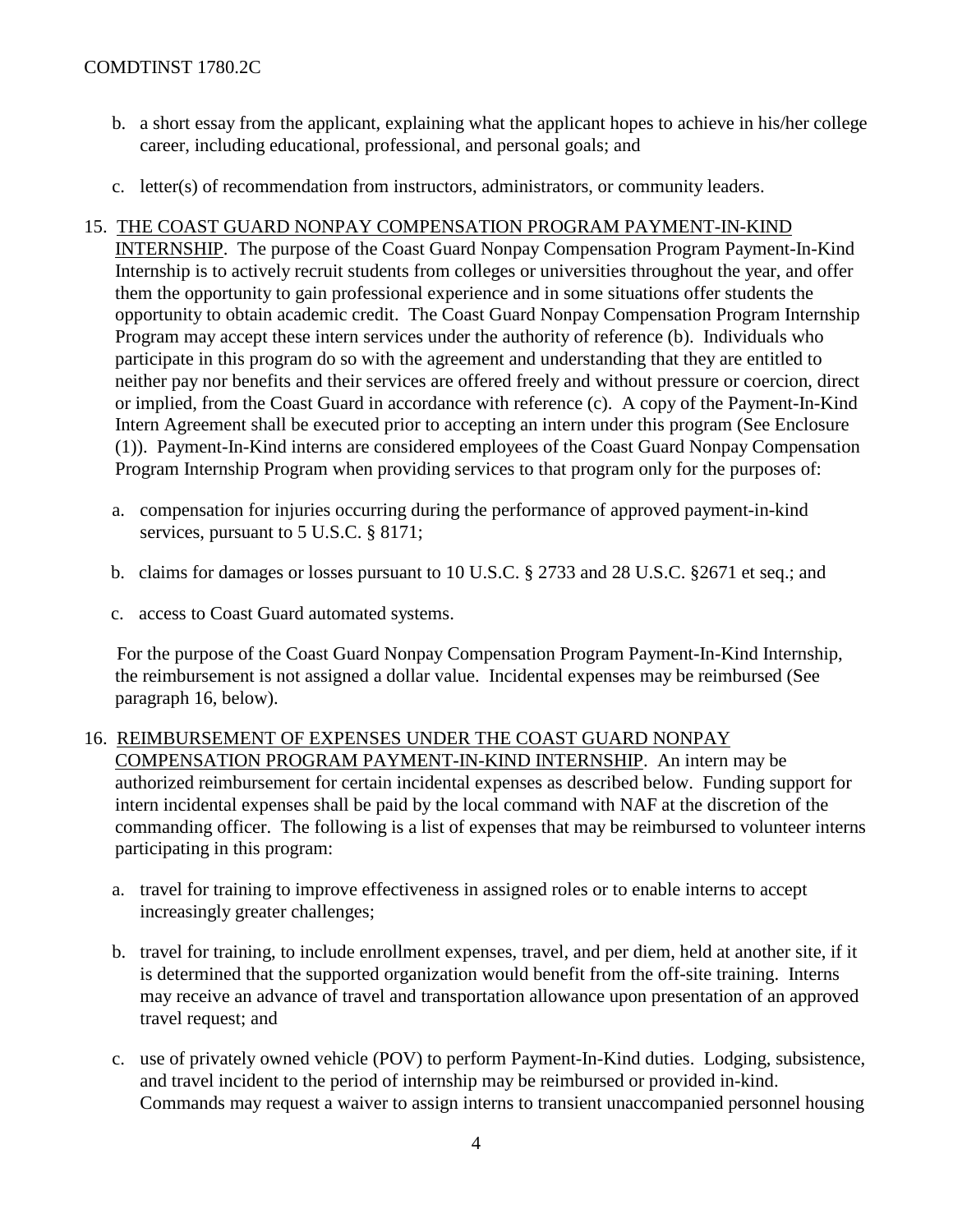- b. a short essay from the applicant, explaining what the applicant hopes to achieve in his/her college career, including educational, professional, and personal goals; and
- c. letter(s) of recommendation from instructors, administrators, or community leaders.
- 15. THE COAST GUARD NONPAY COMPENSATION PROGRAM PAYMENT-IN-KIND
	- INTERNSHIP. The purpose of the Coast Guard Nonpay Compensation Program Payment-In-Kind Internship is to actively recruit students from colleges or universities throughout the year, and offer them the opportunity to gain professional experience and in some situations offer students the opportunity to obtain academic credit. The Coast Guard Nonpay Compensation Program Internship Program may accept these intern services under the authority of reference (b). Individuals who participate in this program do so with the agreement and understanding that they are entitled to neither pay nor benefits and their services are offered freely and without pressure or coercion, direct or implied, from the Coast Guard in accordance with reference (c). A copy of the Payment-In-Kind Intern Agreement shall be executed prior to accepting an intern under this program (See Enclosure (1)). Payment-In-Kind interns are considered employees of the Coast Guard Nonpay Compensation Program Internship Program when providing services to that program only for the purposes of:
		- a. compensation for injuries occurring during the performance of approved payment-in-kind services, pursuant to 5 U.S.C. § 8171;
		- b. claims for damages or losses pursuant to 10 U.S.C. § 2733 and 28 U.S.C. §2671 et seq.; and
		- c. access to Coast Guard automated systems.

 For the purpose of the Coast Guard Nonpay Compensation Program Payment-In-Kind Internship, the reimbursement is not assigned a dollar value. Incidental expenses may be reimbursed (See paragraph 16, below).

- 16. REIMBURSEMENT OF EXPENSES UNDER THE COAST GUARD NONPAY COMPENSATION PROGRAM PAYMENT-IN-KIND INTERNSHIP. An intern may be authorized reimbursement for certain incidental expenses as described below. Funding support for intern incidental expenses shall be paid by the local command with NAF at the discretion of the commanding officer. The following is a list of expenses that may be reimbursed to volunteer interns participating in this program:
	- a. travel for training to improve effectiveness in assigned roles or to enable interns to accept increasingly greater challenges;
	- b. travel for training, to include enrollment expenses, travel, and per diem, held at another site, if it is determined that the supported organization would benefit from the off-site training. Interns may receive an advance of travel and transportation allowance upon presentation of an approved travel request; and
	- c. use of privately owned vehicle (POV) to perform Payment-In-Kind duties. Lodging, subsistence, and travel incident to the period of internship may be reimbursed or provided in-kind. Commands may request a waiver to assign interns to transient unaccompanied personnel housing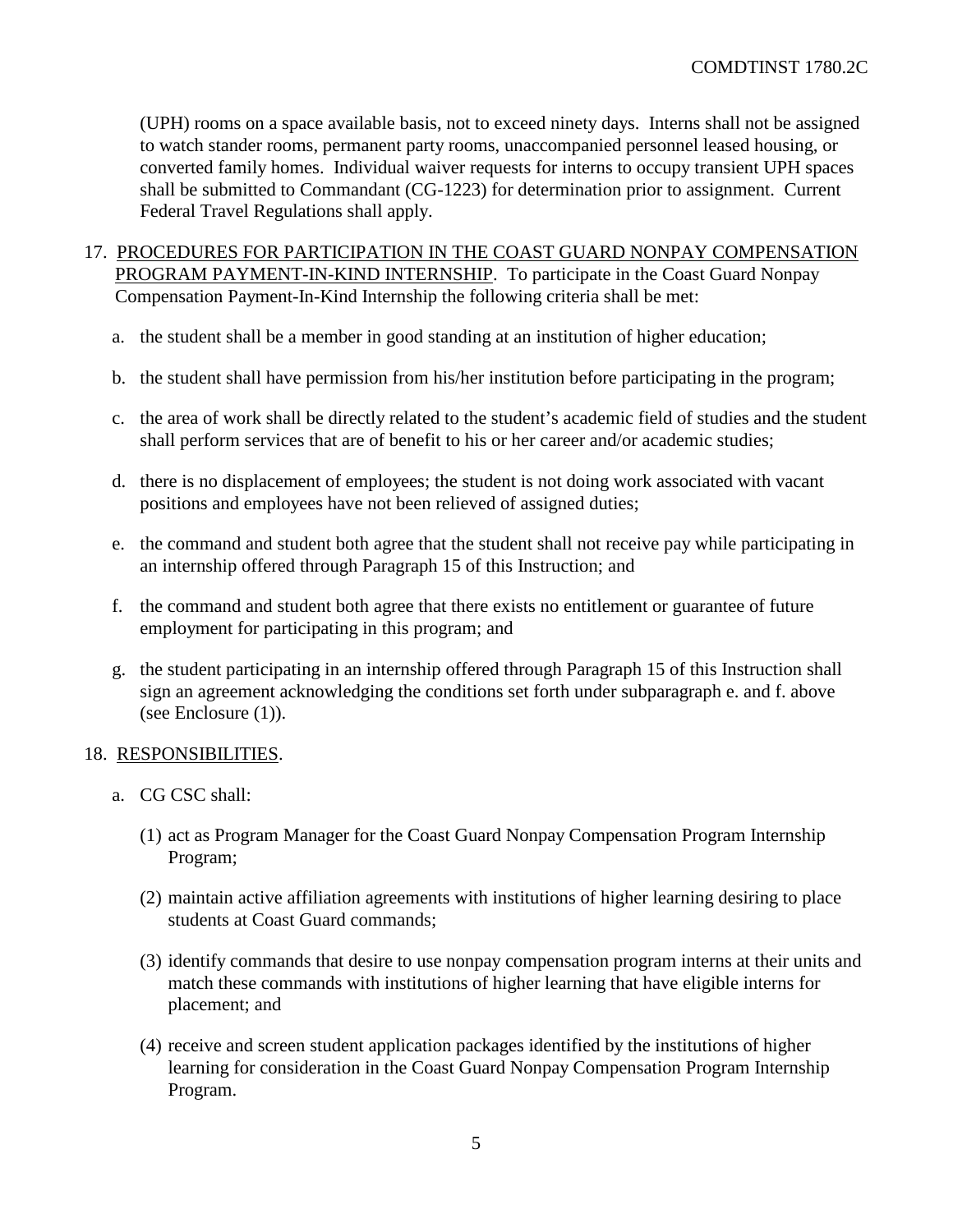(UPH) rooms on a space available basis, not to exceed ninety days. Interns shall not be assigned to watch stander rooms, permanent party rooms, unaccompanied personnel leased housing, or converted family homes. Individual waiver requests for interns to occupy transient UPH spaces shall be submitted to Commandant (CG-1223) for determination prior to assignment. Current Federal Travel Regulations shall apply.

### 17. PROCEDURES FOR PARTICIPATION IN THE COAST GUARD NONPAY COMPENSATION PROGRAM PAYMENT-IN-KIND INTERNSHIP. To participate in the Coast Guard Nonpay Compensation Payment-In-Kind Internship the following criteria shall be met:

- a. the student shall be a member in good standing at an institution of higher education;
- b. the student shall have permission from his/her institution before participating in the program;
- c. the area of work shall be directly related to the student's academic field of studies and the student shall perform services that are of benefit to his or her career and/or academic studies;
- d. there is no displacement of employees; the student is not doing work associated with vacant positions and employees have not been relieved of assigned duties;
- e. the command and student both agree that the student shall not receive pay while participating in an internship offered through Paragraph 15 of this Instruction; and
- f. the command and student both agree that there exists no entitlement or guarantee of future employment for participating in this program; and
- g. the student participating in an internship offered through Paragraph 15 of this Instruction shall sign an agreement acknowledging the conditions set forth under subparagraph e. and f. above (see Enclosure (1)).

#### 18. RESPONSIBILITIES.

- a. CG CSC shall:
	- (1) act as Program Manager for the Coast Guard Nonpay Compensation Program Internship Program;
	- (2) maintain active affiliation agreements with institutions of higher learning desiring to place students at Coast Guard commands;
	- (3) identify commands that desire to use nonpay compensation program interns at their units and match these commands with institutions of higher learning that have eligible interns for placement; and
	- (4) receive and screen student application packages identified by the institutions of higher learning for consideration in the Coast Guard Nonpay Compensation Program Internship Program.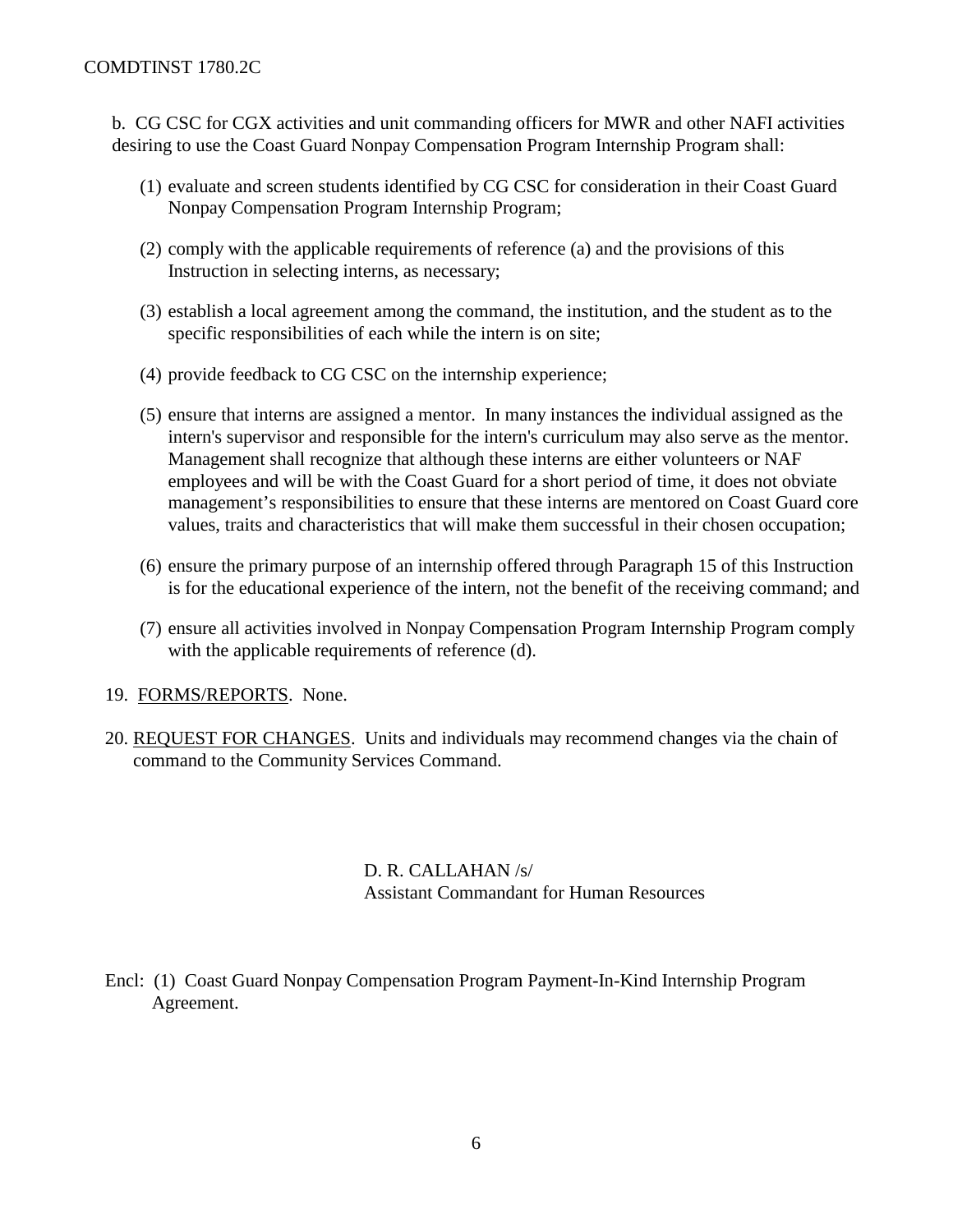### COMDTINST 1780.2C

b. CG CSC for CGX activities and unit commanding officers for MWR and other NAFI activities desiring to use the Coast Guard Nonpay Compensation Program Internship Program shall:

- (1) evaluate and screen students identified by CG CSC for consideration in their Coast Guard Nonpay Compensation Program Internship Program;
- (2) comply with the applicable requirements of reference (a) and the provisions of this Instruction in selecting interns, as necessary;
- (3) establish a local agreement among the command, the institution, and the student as to the specific responsibilities of each while the intern is on site;
- (4) provide feedback to CG CSC on the internship experience;
- (5) ensure that interns are assigned a mentor. In many instances the individual assigned as the intern's supervisor and responsible for the intern's curriculum may also serve as the mentor. Management shall recognize that although these interns are either volunteers or NAF employees and will be with the Coast Guard for a short period of time, it does not obviate management's responsibilities to ensure that these interns are mentored on Coast Guard core values, traits and characteristics that will make them successful in their chosen occupation;
- (6) ensure the primary purpose of an internship offered through Paragraph 15 of this Instruction is for the educational experience of the intern, not the benefit of the receiving command; and
- (7) ensure all activities involved in Nonpay Compensation Program Internship Program comply with the applicable requirements of reference (d).
- 19. FORMS/REPORTS. None.
- 20. REQUEST FOR CHANGES. Units and individuals may recommend changes via the chain of command to the Community Services Command.

D. R. CALLAHAN /s/ Assistant Commandant for Human Resources

Encl: (1) Coast Guard Nonpay Compensation Program Payment-In-Kind Internship Program Agreement.